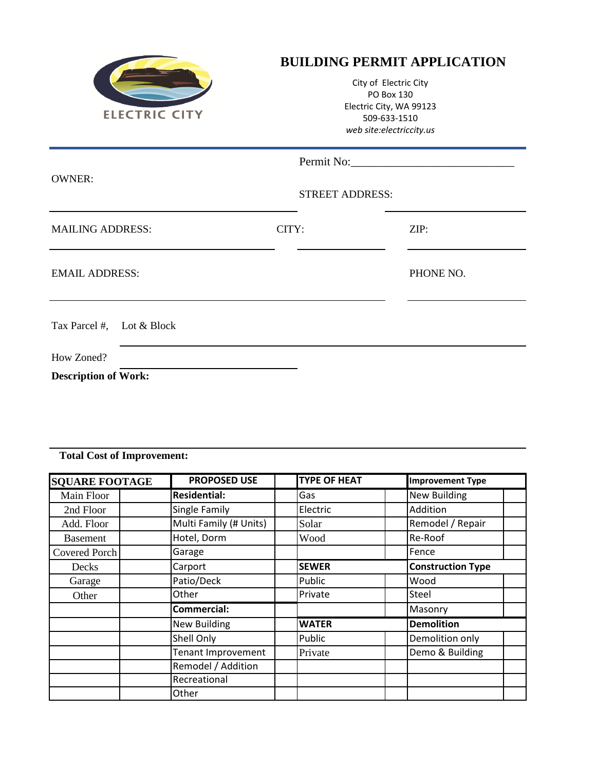

# **BUILDING PERMIT APPLICATION**

City of Electric City PO Box 130 Electric City, WA 99123 509-633-1510 *web site:electriccity.us*

|                                           |       | Permit No:<br><b>STREET ADDRESS:</b> |  |
|-------------------------------------------|-------|--------------------------------------|--|
| <b>OWNER:</b>                             |       |                                      |  |
| <b>MAILING ADDRESS:</b>                   | CITY: | ZIP:                                 |  |
| <b>EMAIL ADDRESS:</b>                     |       | PHONE NO.                            |  |
| Tax Parcel #, Lot & Block                 |       |                                      |  |
| How Zoned?<br><b>Description of Work:</b> |       |                                      |  |

# **Total Cost of Improvement:**

| <b>SQUARE FOOTAGE</b> | <b>PROPOSED USE</b>       | <b>TYPE OF HEAT</b> | <b>Improvement Type</b>  |
|-----------------------|---------------------------|---------------------|--------------------------|
| Main Floor            | <b>Residential:</b>       | Gas                 | New Building             |
| 2nd Floor             | <b>Single Family</b>      | Electric            | Addition                 |
| Add. Floor            | Multi Family (# Units)    | Solar               | Remodel / Repair         |
| <b>Basement</b>       | Hotel, Dorm               | Wood                | Re-Roof                  |
| Covered Porch         | Garage                    |                     | Fence                    |
| Decks                 | Carport                   | <b>SEWER</b>        | <b>Construction Type</b> |
| Garage                | Patio/Deck                | Public              | Wood                     |
| Other                 | Other                     | Private             | Steel                    |
|                       | <b>Commercial:</b>        |                     | Masonry                  |
|                       | <b>New Building</b>       | <b>WATER</b>        | <b>Demolition</b>        |
|                       | Shell Only                | Public              | Demolition only          |
|                       | <b>Tenant Improvement</b> | Private             | Demo & Building          |
|                       | Remodel / Addition        |                     |                          |
|                       | Recreational              |                     |                          |
|                       | Other                     |                     |                          |